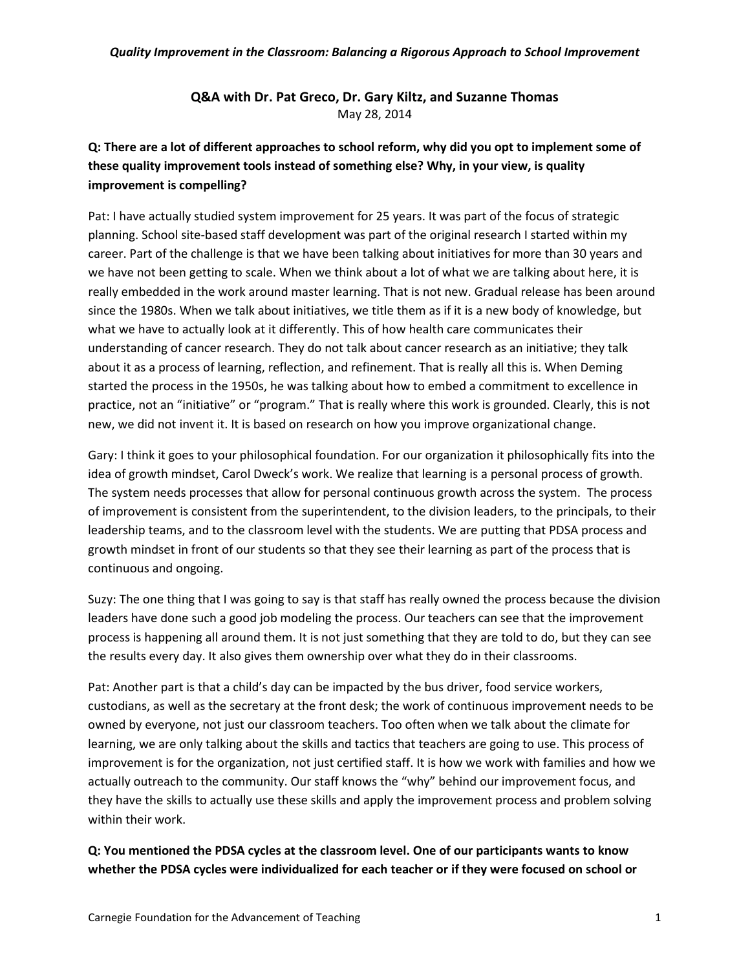### **Q&A with Dr. Pat Greco, Dr. Gary Kiltz, and Suzanne Thomas** May 28, 2014

## **Q: There are a lot of different approaches to school reform, why did you opt to implement some of these quality improvement tools instead of something else? Why, in your view, is quality improvement is compelling?**

Pat: I have actually studied system improvement for 25 years. It was part of the focus of strategic planning. School site-based staff development was part of the original research I started within my career. Part of the challenge is that we have been talking about initiatives for more than 30 years and we have not been getting to scale. When we think about a lot of what we are talking about here, it is really embedded in the work around master learning. That is not new. Gradual release has been around since the 1980s. When we talk about initiatives, we title them as if it is a new body of knowledge, but what we have to actually look at it differently. This of how health care communicates their understanding of cancer research. They do not talk about cancer research as an initiative; they talk about it as a process of learning, reflection, and refinement. That is really all this is. When Deming started the process in the 1950s, he was talking about how to embed a commitment to excellence in practice, not an "initiative" or "program." That is really where this work is grounded. Clearly, this is not new, we did not invent it. It is based on research on how you improve organizational change.

Gary: I think it goes to your philosophical foundation. For our organization it philosophically fits into the idea of growth mindset, Carol Dweck's work. We realize that learning is a personal process of growth. The system needs processes that allow for personal continuous growth across the system. The process of improvement is consistent from the superintendent, to the division leaders, to the principals, to their leadership teams, and to the classroom level with the students. We are putting that PDSA process and growth mindset in front of our students so that they see their learning as part of the process that is continuous and ongoing.

Suzy: The one thing that I was going to say is that staff has really owned the process because the division leaders have done such a good job modeling the process. Our teachers can see that the improvement process is happening all around them. It is not just something that they are told to do, but they can see the results every day. It also gives them ownership over what they do in their classrooms.

Pat: Another part is that a child's day can be impacted by the bus driver, food service workers, custodians, as well as the secretary at the front desk; the work of continuous improvement needs to be owned by everyone, not just our classroom teachers. Too often when we talk about the climate for learning, we are only talking about the skills and tactics that teachers are going to use. This process of improvement is for the organization, not just certified staff. It is how we work with families and how we actually outreach to the community. Our staff knows the "why" behind our improvement focus, and they have the skills to actually use these skills and apply the improvement process and problem solving within their work.

## **Q: You mentioned the PDSA cycles at the classroom level. One of our participants wants to know whether the PDSA cycles were individualized for each teacher or if they were focused on school or**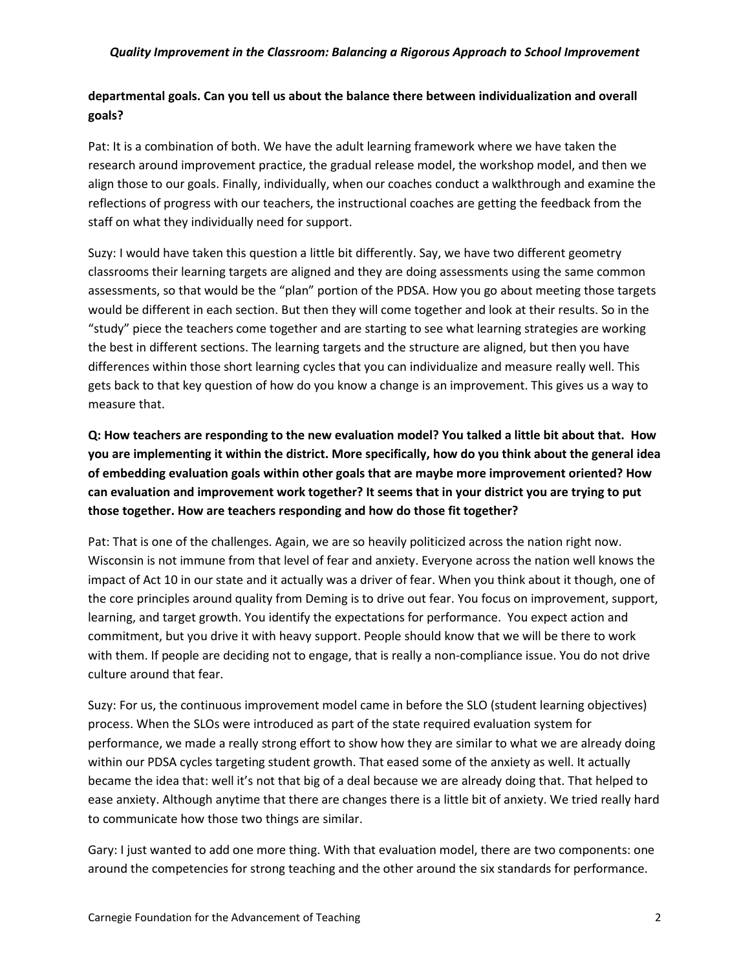### **departmental goals. Can you tell us about the balance there between individualization and overall goals?**

Pat: It is a combination of both. We have the adult learning framework where we have taken the research around improvement practice, the gradual release model, the workshop model, and then we align those to our goals. Finally, individually, when our coaches conduct a walkthrough and examine the reflections of progress with our teachers, the instructional coaches are getting the feedback from the staff on what they individually need for support.

Suzy: I would have taken this question a little bit differently. Say, we have two different geometry classrooms their learning targets are aligned and they are doing assessments using the same common assessments, so that would be the "plan" portion of the PDSA. How you go about meeting those targets would be different in each section. But then they will come together and look at their results. So in the "study" piece the teachers come together and are starting to see what learning strategies are working the best in different sections. The learning targets and the structure are aligned, but then you have differences within those short learning cycles that you can individualize and measure really well. This gets back to that key question of how do you know a change is an improvement. This gives us a way to measure that.

**Q: How teachers are responding to the new evaluation model? You talked a little bit about that. How you are implementing it within the district. More specifically, how do you think about the general idea of embedding evaluation goals within other goals that are maybe more improvement oriented? How can evaluation and improvement work together? It seems that in your district you are trying to put those together. How are teachers responding and how do those fit together?** 

Pat: That is one of the challenges. Again, we are so heavily politicized across the nation right now. Wisconsin is not immune from that level of fear and anxiety. Everyone across the nation well knows the impact of Act 10 in our state and it actually was a driver of fear. When you think about it though, one of the core principles around quality from Deming is to drive out fear. You focus on improvement, support, learning, and target growth. You identify the expectations for performance. You expect action and commitment, but you drive it with heavy support. People should know that we will be there to work with them. If people are deciding not to engage, that is really a non-compliance issue. You do not drive culture around that fear.

Suzy: For us, the continuous improvement model came in before the SLO (student learning objectives) process. When the SLOs were introduced as part of the state required evaluation system for performance, we made a really strong effort to show how they are similar to what we are already doing within our PDSA cycles targeting student growth. That eased some of the anxiety as well. It actually became the idea that: well it's not that big of a deal because we are already doing that. That helped to ease anxiety. Although anytime that there are changes there is a little bit of anxiety. We tried really hard to communicate how those two things are similar.

Gary: I just wanted to add one more thing. With that evaluation model, there are two components: one around the competencies for strong teaching and the other around the six standards for performance.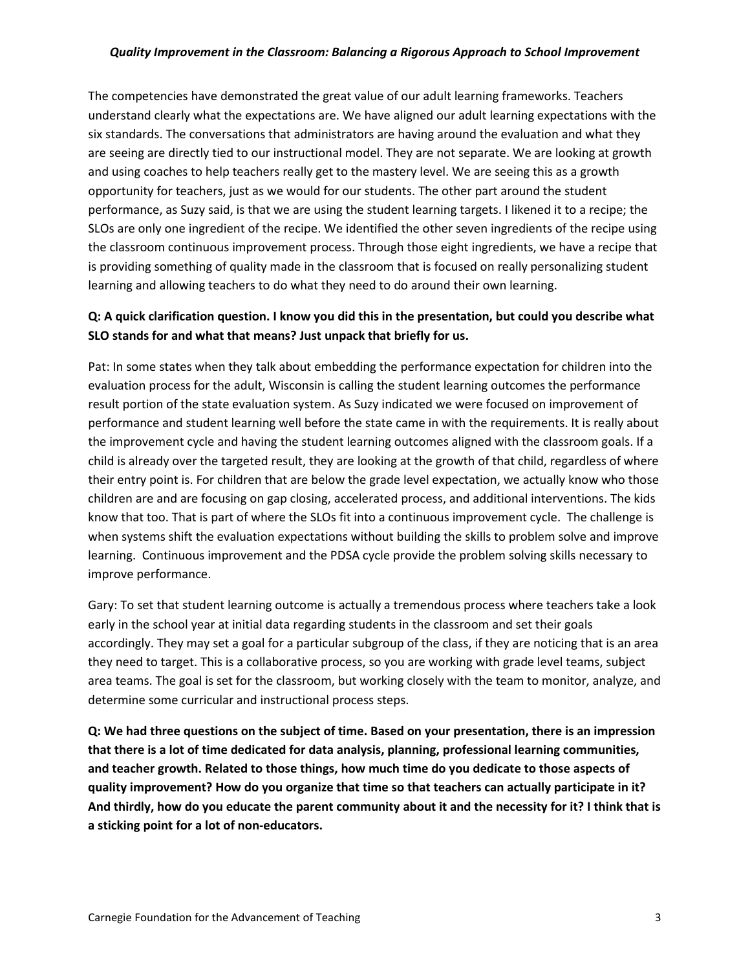The competencies have demonstrated the great value of our adult learning frameworks. Teachers understand clearly what the expectations are. We have aligned our adult learning expectations with the six standards. The conversations that administrators are having around the evaluation and what they are seeing are directly tied to our instructional model. They are not separate. We are looking at growth and using coaches to help teachers really get to the mastery level. We are seeing this as a growth opportunity for teachers, just as we would for our students. The other part around the student performance, as Suzy said, is that we are using the student learning targets. I likened it to a recipe; the SLOs are only one ingredient of the recipe. We identified the other seven ingredients of the recipe using the classroom continuous improvement process. Through those eight ingredients, we have a recipe that is providing something of quality made in the classroom that is focused on really personalizing student learning and allowing teachers to do what they need to do around their own learning.

### **Q: A quick clarification question. I know you did this in the presentation, but could you describe what SLO stands for and what that means? Just unpack that briefly for us.**

Pat: In some states when they talk about embedding the performance expectation for children into the evaluation process for the adult, Wisconsin is calling the student learning outcomes the performance result portion of the state evaluation system. As Suzy indicated we were focused on improvement of performance and student learning well before the state came in with the requirements. It is really about the improvement cycle and having the student learning outcomes aligned with the classroom goals. If a child is already over the targeted result, they are looking at the growth of that child, regardless of where their entry point is. For children that are below the grade level expectation, we actually know who those children are and are focusing on gap closing, accelerated process, and additional interventions. The kids know that too. That is part of where the SLOs fit into a continuous improvement cycle. The challenge is when systems shift the evaluation expectations without building the skills to problem solve and improve learning. Continuous improvement and the PDSA cycle provide the problem solving skills necessary to improve performance.

Gary: To set that student learning outcome is actually a tremendous process where teachers take a look early in the school year at initial data regarding students in the classroom and set their goals accordingly. They may set a goal for a particular subgroup of the class, if they are noticing that is an area they need to target. This is a collaborative process, so you are working with grade level teams, subject area teams. The goal is set for the classroom, but working closely with the team to monitor, analyze, and determine some curricular and instructional process steps.

**Q: We had three questions on the subject of time. Based on your presentation, there is an impression that there is a lot of time dedicated for data analysis, planning, professional learning communities, and teacher growth. Related to those things, how much time do you dedicate to those aspects of quality improvement? How do you organize that time so that teachers can actually participate in it? And thirdly, how do you educate the parent community about it and the necessity for it? I think that is a sticking point for a lot of non-educators.**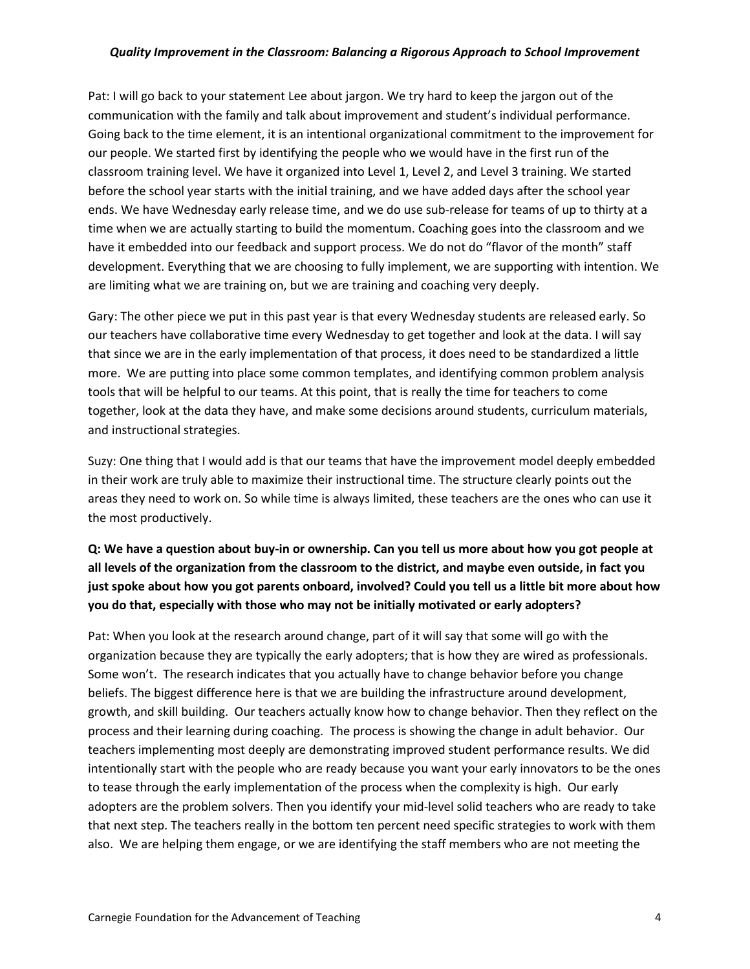Pat: I will go back to your statement Lee about jargon. We try hard to keep the jargon out of the communication with the family and talk about improvement and student's individual performance. Going back to the time element, it is an intentional organizational commitment to the improvement for our people. We started first by identifying the people who we would have in the first run of the classroom training level. We have it organized into Level 1, Level 2, and Level 3 training. We started before the school year starts with the initial training, and we have added days after the school year ends. We have Wednesday early release time, and we do use sub-release for teams of up to thirty at a time when we are actually starting to build the momentum. Coaching goes into the classroom and we have it embedded into our feedback and support process. We do not do "flavor of the month" staff development. Everything that we are choosing to fully implement, we are supporting with intention. We are limiting what we are training on, but we are training and coaching very deeply.

Gary: The other piece we put in this past year is that every Wednesday students are released early. So our teachers have collaborative time every Wednesday to get together and look at the data. I will say that since we are in the early implementation of that process, it does need to be standardized a little more. We are putting into place some common templates, and identifying common problem analysis tools that will be helpful to our teams. At this point, that is really the time for teachers to come together, look at the data they have, and make some decisions around students, curriculum materials, and instructional strategies.

Suzy: One thing that I would add is that our teams that have the improvement model deeply embedded in their work are truly able to maximize their instructional time. The structure clearly points out the areas they need to work on. So while time is always limited, these teachers are the ones who can use it the most productively.

# **Q: We have a question about buy-in or ownership. Can you tell us more about how you got people at all levels of the organization from the classroom to the district, and maybe even outside, in fact you just spoke about how you got parents onboard, involved? Could you tell us a little bit more about how you do that, especially with those who may not be initially motivated or early adopters?**

Pat: When you look at the research around change, part of it will say that some will go with the organization because they are typically the early adopters; that is how they are wired as professionals. Some won't. The research indicates that you actually have to change behavior before you change beliefs. The biggest difference here is that we are building the infrastructure around development, growth, and skill building. Our teachers actually know how to change behavior. Then they reflect on the process and their learning during coaching. The process is showing the change in adult behavior. Our teachers implementing most deeply are demonstrating improved student performance results. We did intentionally start with the people who are ready because you want your early innovators to be the ones to tease through the early implementation of the process when the complexity is high. Our early adopters are the problem solvers. Then you identify your mid-level solid teachers who are ready to take that next step. The teachers really in the bottom ten percent need specific strategies to work with them also. We are helping them engage, or we are identifying the staff members who are not meeting the